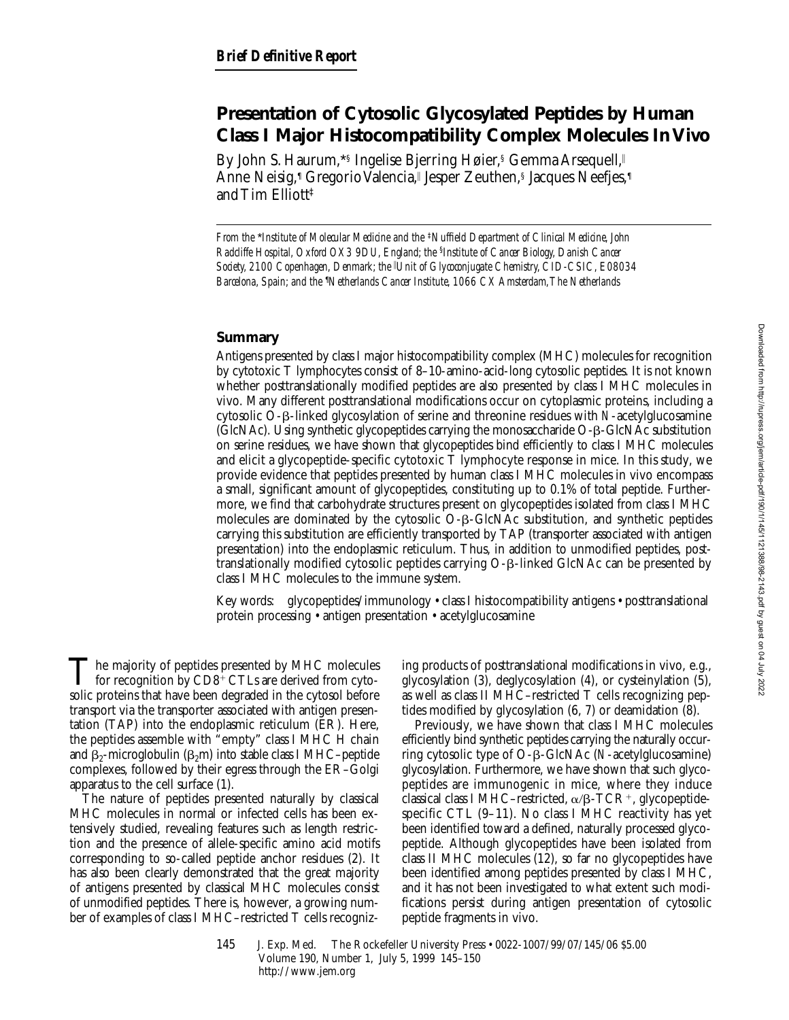# **Presentation of Cytosolic Glycosylated Peptides by Human Class I Major Histocompatibility Complex Molecules In Vivo**

By John S. Haurum, \*§ Ingelise Bjerring Høier, § Gemma Arsequell, II Anne Neisig,¶ Gregorio Valencia,∥ Jesper Zeuthen,§ Jacques Neefjes,¶ and Tim Elliott‡

*From the* \**Institute of Molecular Medicine and the* ‡*Nuffield Department of Clinical Medicine, John Radcliffe Hospital, Oxford OX3 9DU, England; the* § *Institute of Cancer Biology, Danish Cancer Society, 2100 Copenhagen, Denmark; the* <sup>i</sup> *Unit of Glycoconjugate Chemistry, CID-CSIC, E08034 Barcelona, Spain; and the* ¶ *Netherlands Cancer Institute, 1066 CX Amsterdam, The Netherlands*

# **Summary**

Antigens presented by class I major histocompatibility complex (MHC) molecules for recognition by cytotoxic T lymphocytes consist of 8–10-amino-acid-long cytosolic peptides. It is not known whether posttranslationally modified peptides are also presented by class I MHC molecules in vivo. Many different posttranslational modifications occur on cytoplasmic proteins, including a cytosolic O-b-linked glycosylation of serine and threonine residues with *N*-acetylglucosamine (GlcNAc). Using synthetic glycopeptides carrying the monosaccharide O-b-GlcNAc substitution on serine residues, we have shown that glycopeptides bind efficiently to class I MHC molecules and elicit a glycopeptide-specific cytotoxic T lymphocyte response in mice. In this study, we provide evidence that peptides presented by human class I MHC molecules in vivo encompass a small, significant amount of glycopeptides, constituting up to 0.1% of total peptide. Furthermore, we find that carbohydrate structures present on glycopeptides isolated from class I MHC molecules are dominated by the cytosolic O-b-GlcNAc substitution, and synthetic peptides carrying this substitution are efficiently transported by TAP (transporter associated with antigen presentation) into the endoplasmic reticulum. Thus, in addition to unmodified peptides, posttranslationally modified cytosolic peptides carrying O-b-linked GlcNAc can be presented by class I MHC molecules to the immune system.

Key words: glycopeptides/immunology • class I histocompatibility antigens • posttranslational protein processing • antigen presentation • acetylglucosamine

 $\sum$  he majority of peptides presented by MHC molecules<br>for recognition by  $CD8^+$  CTLs are derived from cyto-<br>sells pretains that have been degreeded in the gutagel before solic proteins that have been degraded in the cytosol before transport via the transporter associated with antigen presentation (TAP) into the endoplasmic reticulum (ER). Here, the peptides assemble with "empty" class I MHC H chain and  $\beta_2$ -microglobulin ( $\beta_2$ m) into stable class I MHC–peptide complexes, followed by their egress through the ER–Golgi apparatus to the cell surface (1).

The nature of peptides presented naturally by classical MHC molecules in normal or infected cells has been extensively studied, revealing features such as length restriction and the presence of allele-specific amino acid motifs corresponding to so-called peptide anchor residues (2). It has also been clearly demonstrated that the great majority of antigens presented by classical MHC molecules consist of unmodified peptides. There is, however, a growing number of examples of class I MHC–restricted T cells recognizing products of posttranslational modifications in vivo, e.g., glycosylation  $(3)$ , deglycosylation  $(4)$ , or cysteinylation  $(5)$ , as well as class II MHC–restricted T cells recognizing peptides modified by glycosylation (6, 7) or deamidation (8).

Previously, we have shown that class I MHC molecules efficiently bind synthetic peptides carrying the naturally occurring cytosolic type of O-b-GlcNAc (*N*-acetylglucosamine) glycosylation. Furthermore, we have shown that such glycopeptides are immunogenic in mice, where they induce classical class I MHC–restricted,  $\alpha/\beta$ -TCR<sup>+</sup>, glycopeptidespecific CTL (9–11). No class I MHC reactivity has yet been identified toward a defined, naturally processed glycopeptide. Although glycopeptides have been isolated from class II MHC molecules (12), so far no glycopeptides have been identified among peptides presented by class I MHC, and it has not been investigated to what extent such modifications persist during antigen presentation of cytosolic peptide fragments in vivo.

145 J. Exp. Med. © The Rockefeller University Press • 0022-1007/99/07/145/06 \$5.00 Volume 190, Number 1, July 5, 1999 145–150 http://www.jem.org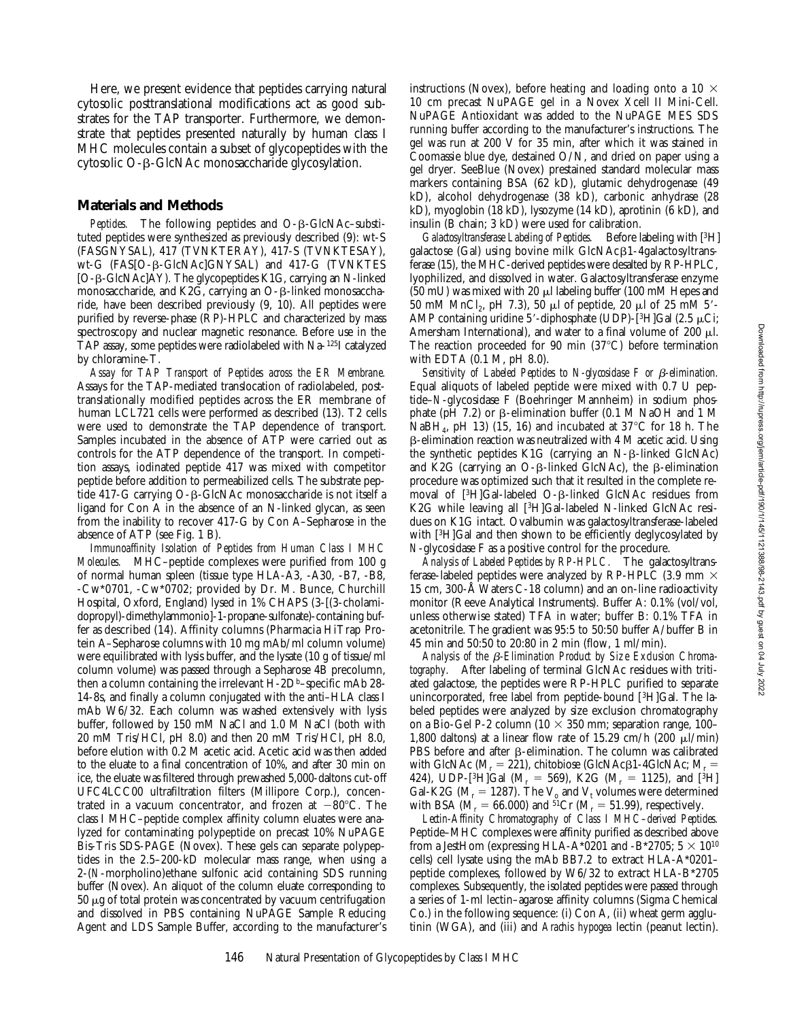Here, we present evidence that peptides carrying natural cytosolic posttranslational modifications act as good substrates for the TAP transporter. Furthermore, we demonstrate that peptides presented naturally by human class I MHC molecules contain a subset of glycopeptides with the cytosolic O-b-GlcNAc monosaccharide glycosylation.

#### **Materials and Methods**

*Peptides.* The following peptides and O-β-GlcNAc–substituted peptides were synthesized as previously described (9): wt-S (FASGNYSAL), 417 (TVNKTERAY), 417-S (TVNKTESAY), wt-G (FAS[O-β-GlcNAc]GNYSAL) and 417-G (TVNKTES [O-b-GlcNAc]AY). The glycopeptides K1G, carrying an N-linked monosaccharide, and K2G, carrying an  $O$ - $\beta$ -linked monosaccharide, have been described previously (9, 10). All peptides were purified by reverse-phase (RP)-HPLC and characterized by mass spectroscopy and nuclear magnetic resonance. Before use in the TAP assay, some peptides were radiolabeled with Na-125I catalyzed by chloramine-T.

*Assay for TAP Transport of Peptides across the ER Membrane.* Assays for the TAP-mediated translocation of radiolabeled, posttranslationally modified peptides across the ER membrane of human LCL721 cells were performed as described (13). T2 cells were used to demonstrate the TAP dependence of transport. Samples incubated in the absence of ATP were carried out as controls for the ATP dependence of the transport. In competition assays, iodinated peptide 417 was mixed with competitor peptide before addition to permeabilized cells. The substrate peptide 417-G carrying O-β-GlcNAc monosaccharide is not itself a ligand for Con A in the absence of an N-linked glycan, as seen from the inability to recover 417-G by Con A–Sepharose in the absence of ATP (see Fig. 1 B).

*Immunoaffinity Isolation of Peptides from Human Class I MHC Molecules.* MHC–peptide complexes were purified from 100 g of normal human spleen (tissue type HLA-A3, -A30, -B7, -B8, -Cw\*0701, -Cw\*0702; provided by Dr. M. Bunce, Churchill Hospital, Oxford, England) lysed in 1% CHAPS (3-[(3-cholamidopropyl)-dimethylammonio]-1-propane-sulfonate)-containing buffer as described (14). Affinity columns (Pharmacia HiTrap Protein A–Sepharose columns with 10 mg mAb/ml column volume) were equilibrated with lysis buffer, and the lysate (10 g of tissue/ml column volume) was passed through a Sepharose 4B precolumn, then a column containing the irrelevant  $H$ -2D<sup>b</sup>–specific mAb 28-14-8s, and finally a column conjugated with the anti–HLA class I mAb W6/32. Each column was washed extensively with lysis buffer, followed by 150 mM NaCl and 1.0 M NaCl (both with 20 mM Tris/HCl, pH 8.0) and then 20 mM Tris/HCl, pH 8.0, before elution with 0.2 M acetic acid. Acetic acid was then added to the eluate to a final concentration of 10%, and after 30 min on ice, the eluate was filtered through prewashed 5,000-daltons cut-off UFC4LCC00 ultrafiltration filters (Millipore Corp.), concentrated in a vacuum concentrator, and frozen at  $-80^{\circ}$ C. The class I MHC–peptide complex affinity column eluates were analyzed for contaminating polypeptide on precast 10% NuPAGE Bis-Tris SDS-PAGE (Novex). These gels can separate polypeptides in the 2.5–200-kD molecular mass range, when using a 2-(*N*-morpholino)ethane sulfonic acid containing SDS running buffer (Novex). An aliquot of the column eluate corresponding to  $50 \mu$ g of total protein was concentrated by vacuum centrifugation and dissolved in PBS containing NuPAGE Sample Reducing Agent and LDS Sample Buffer, according to the manufacturer's

instructions (Novex), before heating and loading onto a 10  $\times$ 10 cm precast NuPAGE gel in a Novex Xcell II Mini-Cell. NuPAGE Antioxidant was added to the NuPAGE MES SDS running buffer according to the manufacturer's instructions. The gel was run at 200 V for 35 min, after which it was stained in Coomassie blue dye, destained O/N, and dried on paper using a gel dryer. SeeBlue (Novex) prestained standard molecular mass markers containing BSA (62 kD), glutamic dehydrogenase (49 kD), alcohol dehydrogenase (38 kD), carbonic anhydrase (28 kD), myoglobin (18 kD), lysozyme (14 kD), aprotinin (6 kD), and insulin (B chain; 3 kD) were used for calibration.

*Galactosyltransferase Labeling of Peptides.* Before labeling with [3H] galactose (Gal) using bovine milk  $GlcNAc\beta1-4galactosyltrans$ ferase (15), the MHC-derived peptides were desalted by RP-HPLC, lyophilized, and dissolved in water. Galactosyltransferase enzyme (50 mU) was mixed with 20  $\mu$ l labeling buffer (100 mM Hepes and 50 mM MnCl<sub>2</sub>, pH 7.3), 50 µl of peptide, 20 µl of 25 mM 5'-AMP containing uridine 5'-diphosphate (UDP)-[3H]Gal (2.5  $\mu$ Ci; Amersham International), and water to a final volume of 200  $\mu$ l. The reaction proceeded for 90 min  $(37^{\circ}C)$  before termination with EDTA (0.1 M, pH 8.0).

*Sensitivity of Labeled Peptides to N-glycosidase F or* b*-elimination.* Equal aliquots of labeled peptide were mixed with 0.7 U peptide–*N*-glycosidase F (Boehringer Mannheim) in sodium phosphate (pH 7.2) or  $\beta$ -elimination buffer (0.1 M NaOH and 1 M NaBH<sub>4</sub>, pH 13) (15, 16) and incubated at 37<sup>o</sup>C for 18 h. The  $\beta$ -elimination reaction was neutralized with 4 M acetic acid. Using the synthetic peptides  $K1G$  (carrying an N- $\beta$ -linked GlcNAc) and K2G (carrying an O- $\beta$ -linked GlcNAc), the  $\beta$ -elimination procedure was optimized such that it resulted in the complete removal of  $[3H]$ Gal-labeled O- $\beta$ -linked GlcNAc residues from K2G while leaving all [3H]Gal-labeled N-linked GlcNAc residues on K1G intact. Ovalbumin was galactosyltransferase-labeled with [3H]Gal and then shown to be efficiently deglycosylated by *N*-glycosidase F as a positive control for the procedure.

*Analysis of Labeled Peptides by RP-HPLC.* The galactosyltransferase-labeled peptides were analyzed by RP-HPLC (3.9 mm  $\times$ 15 cm, 300-Å Waters C-18 column) and an on-line radioactivity monitor (Reeve Analytical Instruments). Buffer A: 0.1% (vol/vol, unless otherwise stated) TFA in water; buffer B: 0.1% TFA in acetonitrile. The gradient was 95:5 to 50:50 buffer A/buffer B in 45 min and 50:50 to 20:80 in 2 min (flow, 1 ml/min).

Analysis of the  $\beta$ -Elimination Product by Size Exclusion Chroma*tography.* After labeling of terminal GlcNAc residues with tritiated galactose, the peptides were RP-HPLC purified to separate unincorporated, free label from peptide-bound [3H]Gal. The labeled peptides were analyzed by size exclusion chromatography on a Bio-Gel P-2 column (10  $\times$  350 mm; separation range, 100– 1,800 daltons) at a linear flow rate of 15.29 cm/h (200  $\mu$ l/min) PBS before and after  $\beta$ -elimination. The column was calibrated with GlcNAc ( $M_r = 221$ ), chitobiose (GlcNAc $\beta$ 1-4GlcNAc;  $M_r =$ 424), UDP-[<sup>3</sup>H]Gal ( $M_r = 569$ ), K2G ( $M_r = 1125$ ), and [<sup>3</sup>H] Gal-K2G ( $M_r = 1287$ ). The  $V_o$  and  $V_t$  volumes were determined with BSA ( $M_r = 66.000$ ) and <sup>51</sup>Cr ( $M_r = 51.99$ ), respectively.

*Lectin-Affinity Chromatography of Class I MHC–derived Peptides.* Peptide–MHC complexes were affinity purified as described above from a JestHom (expressing HLA-A\*0201 and -B\*2705;  $5 \times 10^{10}$ cells) cell lysate using the mAb BB7.2 to extract HLA-A\*0201– peptide complexes, followed by W6/32 to extract HLA-B\*2705 complexes. Subsequently, the isolated peptides were passed through a series of 1-ml lectin–agarose affinity columns (Sigma Chemical Co.) in the following sequence: (i) Con A, (ii) wheat germ agglutinin (WGA), and (iii) and *Arachis hypogea* lectin (peanut lectin).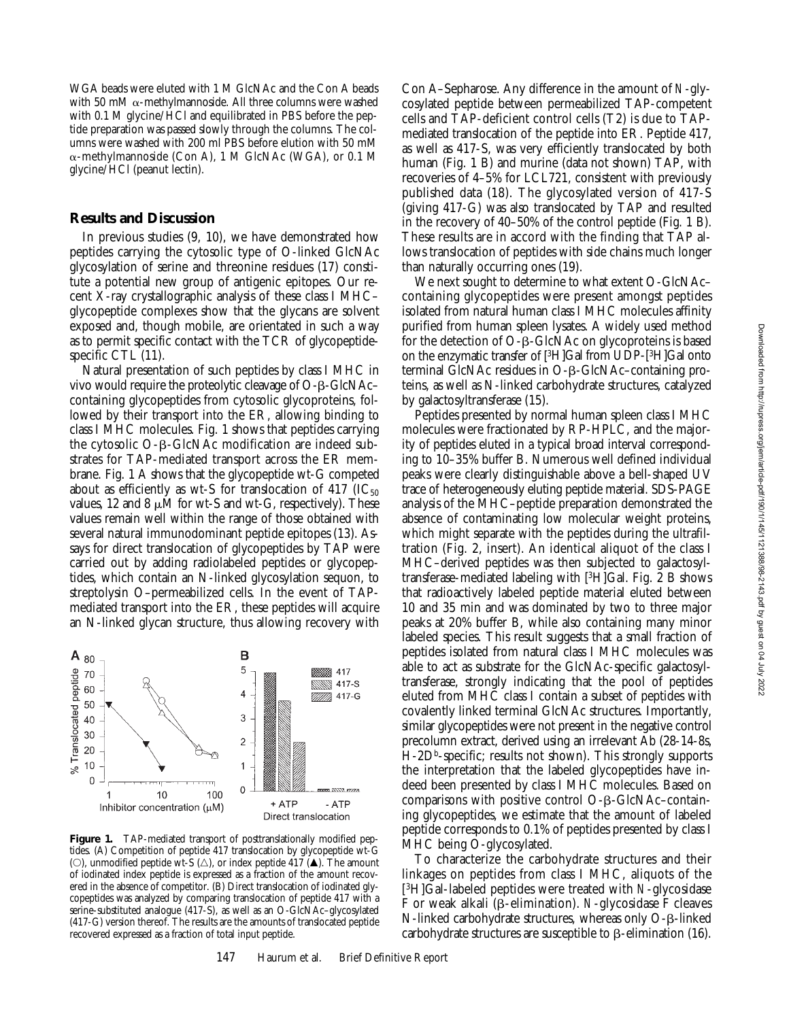WGA beads were eluted with 1 M GlcNAc and the Con A beads with 50 mM  $\alpha$ -methylmannoside. All three columns were washed with 0.1 M glycine/HCl and equilibrated in PBS before the peptide preparation was passed slowly through the columns. The columns were washed with 200 ml PBS before elution with 50 mM a-methylmannoside (Con A), 1 M GlcNAc (WGA), or 0.1 M glycine/HCl (peanut lectin).

### **Results and Discussion**

In previous studies (9, 10), we have demonstrated how peptides carrying the cytosolic type of O-linked GlcNAc glycosylation of serine and threonine residues (17) constitute a potential new group of antigenic epitopes. Our recent X-ray crystallographic analysis of these class I MHC– glycopeptide complexes show that the glycans are solvent exposed and, though mobile, are orientated in such a way as to permit specific contact with the TCR of glycopeptidespecific CTL (11).

Natural presentation of such peptides by class I MHC in vivo would require the proteolytic cleavage of O-b-GlcNAc– containing glycopeptides from cytosolic glycoproteins, followed by their transport into the ER, allowing binding to class I MHC molecules. Fig. 1 shows that peptides carrying the cytosolic  $O$ - $\beta$ -GlcNAc modification are indeed substrates for TAP-mediated transport across the ER membrane. Fig. 1 A shows that the glycopeptide wt-G competed about as efficiently as wt-S for translocation of 417 ( $IC_{50}$ ) values, 12 and 8  $\mu$ M for wt-S and wt-G, respectively). These values remain well within the range of those obtained with several natural immunodominant peptide epitopes (13). Assays for direct translocation of glycopeptides by TAP were carried out by adding radiolabeled peptides or glycopeptides, which contain an N-linked glycosylation sequon, to streptolysin O–permeabilized cells. In the event of TAPmediated transport into the ER, these peptides will acquire an N-linked glycan structure, thus allowing recovery with



Figure 1. TAP-mediated transport of posttranslationally modified peptides. (A) Competition of peptide 417 translocation by glycopeptide wt-G (O), unmodified peptide wt-S ( $\triangle$ ), or index peptide 417 ( $\triangle$ ). The amount of iodinated index peptide is expressed as a fraction of the amount recovered in the absence of competitor. (B) Direct translocation of iodinated glycopeptides was analyzed by comparing translocation of peptide 417 with a serine-substituted analogue (417-S), as well as an O-GlcNAc–glycosylated (417-G) version thereof. The results are the amounts of translocated peptide recovered expressed as a fraction of total input peptide.

147 Haurum et al. Brief Definitive Report

Con A–Sepharose. Any difference in the amount of *N*-glycosylated peptide between permeabilized TAP-competent cells and TAP-deficient control cells (T2) is due to TAPmediated translocation of the peptide into ER. Peptide 417, as well as 417-S, was very efficiently translocated by both human (Fig. 1 B) and murine (data not shown) TAP, with recoveries of 4–5% for LCL721, consistent with previously published data (18). The glycosylated version of 417-S (giving 417-G) was also translocated by TAP and resulted in the recovery of 40–50% of the control peptide (Fig. 1 B). These results are in accord with the finding that TAP allows translocation of peptides with side chains much longer than naturally occurring ones (19).

We next sought to determine to what extent O-GlcNAc– containing glycopeptides were present amongst peptides isolated from natural human class I MHC molecules affinity purified from human spleen lysates. A widely used method for the detection of O-b-GlcNAc on glycoproteins is based on the enzymatic transfer of [3H]Gal from UDP-[3H]Gal onto terminal GlcNAc residues in O-b-GlcNAc–containing proteins, as well as N-linked carbohydrate structures, catalyzed by galactosyltransferase (15).

Peptides presented by normal human spleen class I MHC molecules were fractionated by RP-HPLC, and the majority of peptides eluted in a typical broad interval corresponding to 10–35% buffer B. Numerous well defined individual peaks were clearly distinguishable above a bell-shaped UV trace of heterogeneously eluting peptide material. SDS-PAGE analysis of the MHC–peptide preparation demonstrated the absence of contaminating low molecular weight proteins, which might separate with the peptides during the ultrafiltration (Fig. 2, insert). An identical aliquot of the class I MHC–derived peptides was then subjected to galactosyltransferase-mediated labeling with [3H]Gal. Fig. 2 B shows that radioactively labeled peptide material eluted between 10 and 35 min and was dominated by two to three major peaks at 20% buffer B, while also containing many minor labeled species. This result suggests that a small fraction of peptides isolated from natural class I MHC molecules was able to act as substrate for the GlcNAc-specific galactosyltransferase, strongly indicating that the pool of peptides eluted from MHC class I contain a subset of peptides with covalently linked terminal GlcNAc structures. Importantly, similar glycopeptides were not present in the negative control precolumn extract, derived using an irrelevant Ab (28-14-8s, H-2D<sup>b</sup>-specific; results not shown). This strongly supports the interpretation that the labeled glycopeptides have indeed been presented by class I MHC molecules. Based on comparisons with positive control  $O$ - $\beta$ -GlcNAc–containing glycopeptides, we estimate that the amount of labeled peptide corresponds to 0.1% of peptides presented by class I MHC being O-glycosylated.

To characterize the carbohydrate structures and their linkages on peptides from class I MHC, aliquots of the [3H]Gal-labeled peptides were treated with *N*-glycosidase F or weak alkali (b-elimination). *N*-glycosidase F cleaves N-linked carbohydrate structures, whereas only O-β-linked carbohydrate structures are susceptible to  $\beta$ -elimination (16).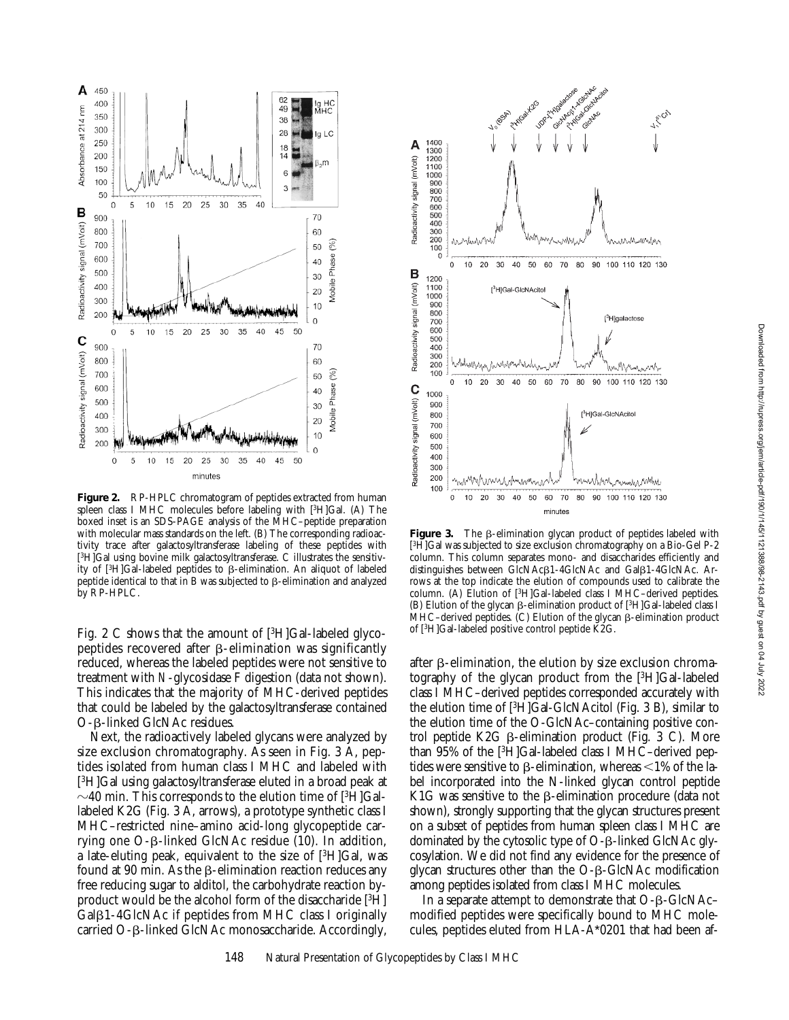

**Figure 2.** RP-HPLC chromatogram of peptides extracted from human spleen class I MHC molecules before labeling with [3H]Gal. (A) The boxed inset is an SDS-PAGE analysis of the MHC–peptide preparation with molecular mass standards on the left. (B) The corresponding radioactivity trace after galactosyltransferase labeling of these peptides with [3H]Gal using bovine milk galactosyltransferase. C illustrates the sensitivity of  $[3H]$ Gal-labeled peptides to  $\beta$ -elimination. An aliquot of labeled peptide identical to that in B was subjected to  $\beta$ -elimination and analyzed by RP-HPLC.

Fig. 2 C shows that the amount of  $[3H]$ Gal-labeled glycopeptides recovered after  $\beta$ -elimination was significantly reduced, whereas the labeled peptides were not sensitive to treatment with *N*-glycosidase F digestion (data not shown). This indicates that the majority of MHC-derived peptides that could be labeled by the galactosyltransferase contained O-β-linked GlcNAc residues.

Next, the radioactively labeled glycans were analyzed by size exclusion chromatography. As seen in Fig. 3 A, peptides isolated from human class I MHC and labeled with [3H]Gal using galactosyltransferase eluted in a broad peak at  $\sim$ 40 min. This corresponds to the elution time of [<sup>3</sup>H]Gallabeled K2G (Fig. 3 A, arrows), a prototype synthetic class I MHC–restricted nine–amino acid-long glycopeptide carrying one  $O$ - $\beta$ -linked GlcNAc residue (10). In addition, a late-eluting peak, equivalent to the size of [3H]Gal, was found at 90 min. As the  $\beta$ -elimination reaction reduces any free reducing sugar to alditol, the carbohydrate reaction byproduct would be the alcohol form of the disaccharide [3H]  $GaI\beta1-AGlcNAc$  if peptides from MHC class I originally carried O-b-linked GlcNAc monosaccharide. Accordingly,



**Figure 3.** The  $\beta$ -elimination glycan product of peptides labeled with [3H]Gal was subjected to size exclusion chromatography on a Bio-Gel P-2 column. This column separates mono- and disaccharides efficiently and distinguishes between GlcNAc $\beta$ 1-4GlcNAc and Gal $\beta$ 1-4GlcNAc. Arrows at the top indicate the elution of compounds used to calibrate the column. (A) Elution of [3H]Gal-labeled class I MHC–derived peptides. (B) Elution of the glycan  $\beta$ -elimination product of [<sup>3</sup>H]Gal-labeled class I  $MHC$ –derived peptides. (C) Elution of the glycan  $\beta$ -elimination product of [3H]Gal-labeled positive control peptide  $\check{K}2G$ .

after  $\beta$ -elimination, the elution by size exclusion chromatography of the glycan product from the [3H]Gal-labeled class I MHC–derived peptides corresponded accurately with the elution time of [3H]Gal-GlcNAcitol (Fig. 3 B), similar to the elution time of the O-GlcNAc–containing positive control peptide K2G  $\beta$ -elimination product (Fig. 3 C). More than 95% of the [3H]Gal-labeled class I MHC–derived peptides were sensitive to  $\beta$ -elimination, whereas  $\leq 1\%$  of the label incorporated into the N-linked glycan control peptide K1G was sensitive to the  $\beta$ -elimination procedure (data not shown), strongly supporting that the glycan structures present on a subset of peptides from human spleen class I MHC are dominated by the cytosolic type of O-ß-linked GlcNAc glycosylation. We did not find any evidence for the presence of glycan structures other than the  $O$ - $\beta$ -GlcNAc modification among peptides isolated from class I MHC molecules.

In a separate attempt to demonstrate that  $O$ - $\beta$ -GlcNAc– modified peptides were specifically bound to MHC molecules, peptides eluted from HLA-A\*0201 that had been af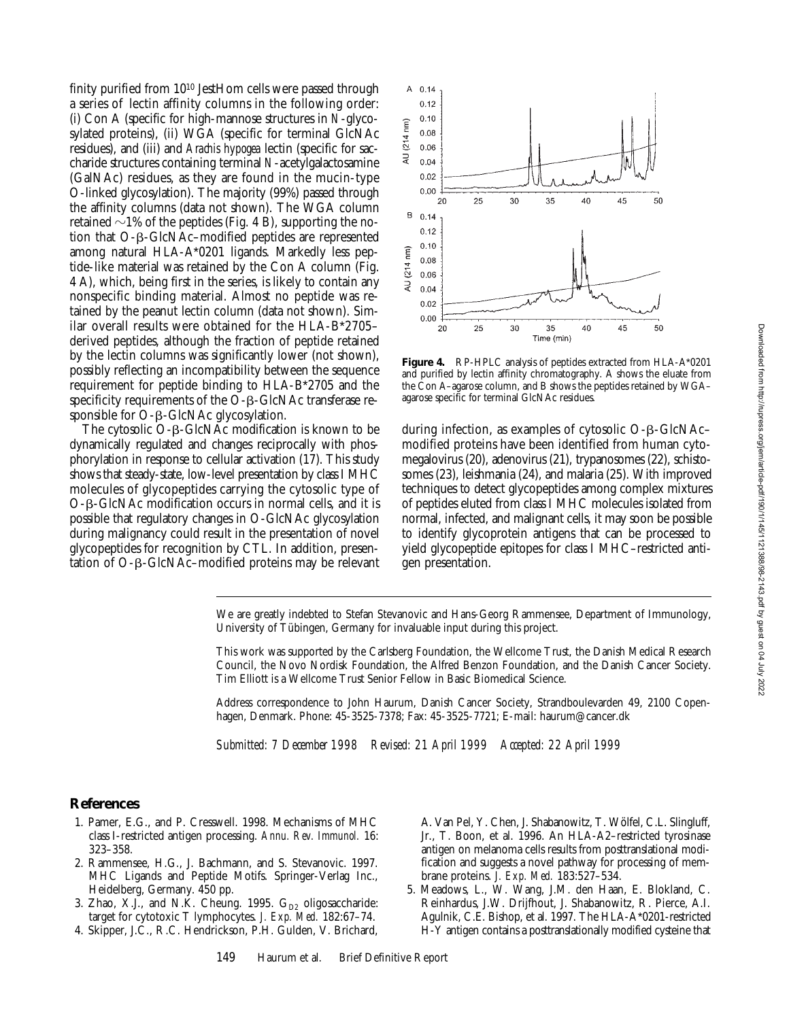finity purified from 1010 JestHom cells were passed through a series of lectin affinity columns in the following order: (i) Con A (specific for high-mannose structures in *N*-glycosylated proteins), (ii) WGA (specific for terminal GlcNAc residues), and (iii) and *Arachis hypogea* lectin (specific for saccharide structures containing terminal *N*-acetylgalactosamine (GalNAc) residues, as they are found in the mucin-type O-linked glycosylation). The majority (99%) passed through the affinity columns (data not shown). The WGA column retained  $\sim$ 1% of the peptides (Fig. 4 B), supporting the notion that  $O$ - $\beta$ -GlcNAc–modified peptides are represented among natural HLA-A\*0201 ligands. Markedly less peptide-like material was retained by the Con A column (Fig. 4 A), which, being first in the series, is likely to contain any nonspecific binding material. Almost no peptide was retained by the peanut lectin column (data not shown). Similar overall results were obtained for the HLA-B\*2705– derived peptides, although the fraction of peptide retained by the lectin columns was significantly lower (not shown), possibly reflecting an incompatibility between the sequence requirement for peptide binding to HLA-B\*2705 and the specificity requirements of the O- $\beta$ -GlcNAc transferase responsible for  $O$ - $\beta$ -GlcNAc glycosylation.

The cytosolic  $O$ - $\beta$ -GlcNAc modification is known to be dynamically regulated and changes reciprocally with phosphorylation in response to cellular activation (17). This study shows that steady-state, low-level presentation by class I MHC molecules of glycopeptides carrying the cytosolic type of O-b-GlcNAc modification occurs in normal cells, and it is possible that regulatory changes in O-GlcNAc glycosylation during malignancy could result in the presentation of novel glycopeptides for recognition by CTL. In addition, presentation of  $O$ -β- $G$ lcNAc–modified proteins may be relevant



**Figure 4.** RP-HPLC analysis of peptides extracted from HLA-A\*0201 and purified by lectin affinity chromatography. A shows the eluate from the Con A–agarose column, and B shows the peptides retained by WGA– agarose specific for terminal GlcNAc residues.

during infection, as examples of cytosolic  $O$ - $\beta$ -GlcNAc– modified proteins have been identified from human cytomegalovirus (20), adenovirus (21), trypanosomes (22), schistosomes (23), leishmania (24), and malaria (25). With improved techniques to detect glycopeptides among complex mixtures of peptides eluted from class I MHC molecules isolated from normal, infected, and malignant cells, it may soon be possible to identify glycoprotein antigens that can be processed to yield glycopeptide epitopes for class I MHC–restricted antigen presentation.

We are greatly indebted to Stefan Stevanovic and Hans-Georg Rammensee, Department of Immunology, University of Tübingen, Germany for invaluable input during this project.

This work was supported by the Carlsberg Foundation, the Wellcome Trust, the Danish Medical Research Council, the Novo Nordisk Foundation, the Alfred Benzon Foundation, and the Danish Cancer Society. Tim Elliott is a Wellcome Trust Senior Fellow in Basic Biomedical Science.

Address correspondence to John Haurum, Danish Cancer Society, Strandboulevarden 49, 2100 Copenhagen, Denmark. Phone: 45-3525-7378; Fax: 45-3525-7721; E-mail: haurum@cancer.dk

*Submitted: 7 December 1998 Revised: 21 April 1999 Accepted: 22 April 1999*

## **References**

- 1. Pamer, E.G., and P. Cresswell. 1998. Mechanisms of MHC class I-restricted antigen processing. *Annu. Rev. Immunol.* 16: 323–358.
- 2. Rammensee, H.G., J. Bachmann, and S. Stevanovic. 1997. MHC Ligands and Peptide Motifs. Springer-Verlag Inc., Heidelberg, Germany. 450 pp.
- 3. Zhao, X.J., and N.K. Cheung. 1995.  $G_{D2}$  oligosaccharide: target for cytotoxic T lymphocytes. *J. Exp. Med.* 182:67–74.
- 4. Skipper, J.C., R.C. Hendrickson, P.H. Gulden, V. Brichard,

A. Van Pel, Y. Chen, J. Shabanowitz, T. Wölfel, C.L. Slingluff, Jr., T. Boon, et al. 1996. An HLA-A2–restricted tyrosinase antigen on melanoma cells results from posttranslational modification and suggests a novel pathway for processing of membrane proteins. *J. Exp. Med.* 183:527–534.

5. Meadows, L., W. Wang, J.M. den Haan, E. Blokland, C. Reinhardus, J.W. Drijfhout, J. Shabanowitz, R. Pierce, A.I. Agulnik, C.E. Bishop, et al. 1997. The HLA-A\*0201-restricted H-Y antigen contains a posttranslationally modified cysteine that